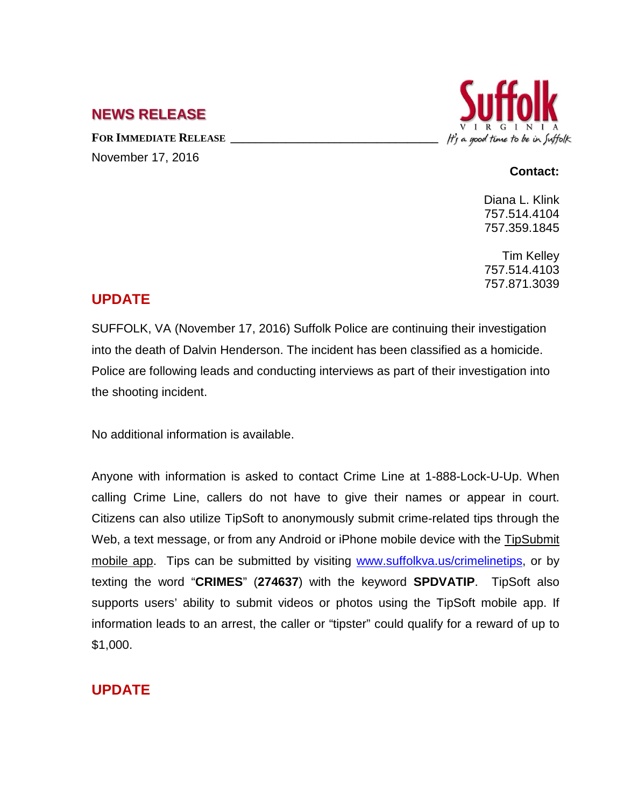## **NEWS RELEASE**

FOR **IMMEDIATE RELEASE** November 17, 2016



#### **Contact:**

Diana L. Klink 757.514.4104 757.359.1845

Tim Kelley 757.514.4103 757.871.3039

## **UPDATE**

SUFFOLK, VA (November 17, 2016) Suffolk Police are continuing their investigation into the death of Dalvin Henderson. The incident has been classified as a homicide. Police are following leads and conducting interviews as part of their investigation into the shooting incident.

No additional information is available.

Anyone with information is asked to contact Crime Line at 1-888-Lock-U-Up. When calling Crime Line, callers do not have to give their names or appear in court. Citizens can also utilize TipSoft to anonymously submit crime-related tips through the Web, a text message, or from any Android or iPhone mobile device with the [TipSubmit](http://www.tipsoft.com/index.asp?P=TipSubmitMobile)  [mobile app.](http://www.tipsoft.com/index.asp?P=TipSubmitMobile) Tips can be submitted by visiting [www.suffolkva.us/crimelinetips,](http://www.suffolkva.us/crimelinetips) or by texting the word "**CRIMES**" (**274637**) with the keyword **SPDVATIP**. TipSoft also supports users' ability to submit videos or photos using the TipSoft mobile app. If information leads to an arrest, the caller or "tipster" could qualify for a reward of up to \$1,000.

# **UPDATE**